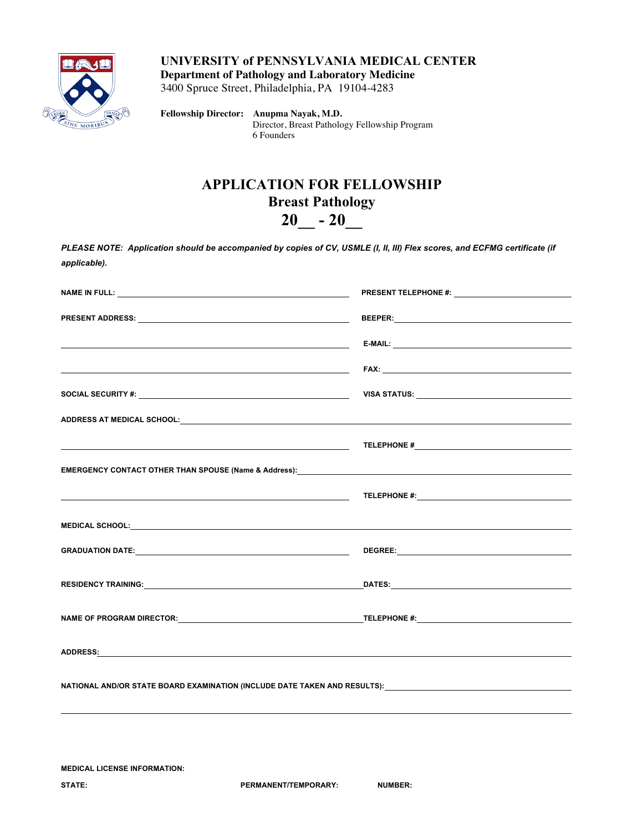

**UNIVERSITY of PENNSYLVANIA MEDICAL CENTER Department of Pathology and Laboratory Medicine**

3400 Spruce Street, Philadelphia, PA 19104-4283

**Fellowship Director: Anupma Nayak, M.D.** Director, Breast Pathology Fellowship Program 6 Founders

## **APPLICATION FOR FELLOWSHIP Breast Pathology 20\_\_ - 20\_\_**

*PLEASE NOTE: Application should be accompanied by copies of CV, USMLE (I, II, III) Flex scores, and ECFMG certificate (if applicable).*

| the contract of the contract of the contract of the contract of the contract of the contract of the                                                                                                                                  |                                                                                                                |  |  |  |
|--------------------------------------------------------------------------------------------------------------------------------------------------------------------------------------------------------------------------------------|----------------------------------------------------------------------------------------------------------------|--|--|--|
|                                                                                                                                                                                                                                      |                                                                                                                |  |  |  |
|                                                                                                                                                                                                                                      |                                                                                                                |  |  |  |
|                                                                                                                                                                                                                                      | TELEPHONE # 2008 AND THE SERVICE OF THE SERVICE OF THE SERVICE OF THE SERVICE OF THE SERVICE OF THE SERVICE OF |  |  |  |
|                                                                                                                                                                                                                                      |                                                                                                                |  |  |  |
|                                                                                                                                                                                                                                      |                                                                                                                |  |  |  |
| MEDICAL SCHOOL: <b>Andrew Contract Contract Contract Contract Contract Contract Contract Contract Contract Contract Contract Contract Contract Contract Contract Contract Contract Contract Contract Contract Contract Contract </b> |                                                                                                                |  |  |  |
|                                                                                                                                                                                                                                      |                                                                                                                |  |  |  |
|                                                                                                                                                                                                                                      |                                                                                                                |  |  |  |
| NAME OF PROGRAM DIRECTOR: TELEPHONE #:                                                                                                                                                                                               |                                                                                                                |  |  |  |
| ADDRESS <u>:</u> And the contract of the contract of the contract of the contract of the contract of the contract of the contract of the contract of the contract of the contract of the contract of the contract of the contract of |                                                                                                                |  |  |  |
|                                                                                                                                                                                                                                      |                                                                                                                |  |  |  |
|                                                                                                                                                                                                                                      |                                                                                                                |  |  |  |